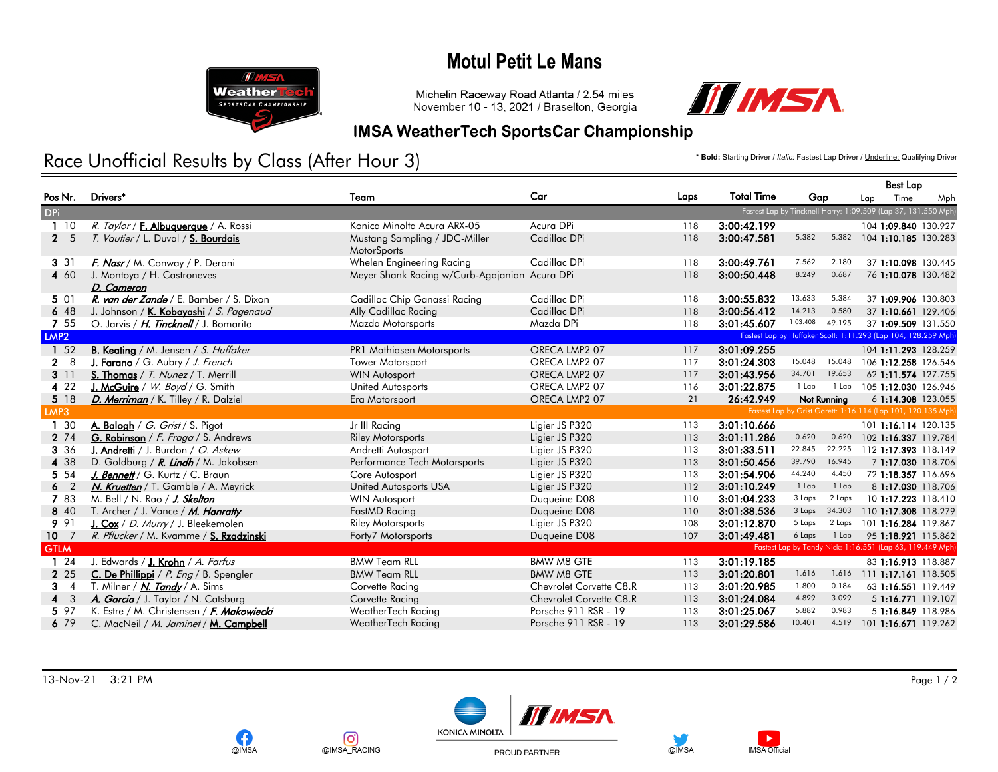## **Motul Petit Le Mans**



Michelin Raceway Road Atlanta / 2.54 miles November 10 - 13, 2021 / Braselton, Georgia



#### **IMSA WeatherTech SportsCar Championship**

#### Race Unofficial Results by Class (After Hour 3) **Access** Lap Driver / *Italic: Fastest Lap Driver* / <u>Underline:</u> Qualifying Driver

Nr. Drivers\* Team Car Laps Total Time Gap Best Lap Pos Lap Time Mph DPi Fastest Lap by Tincknell Harry: 1:09.509 (Lap 37, 131.550 Mph) 1 10 R. Taylor / F. Albuquerque / A. Rossi **Minolta Acura ARX-05** Acura DPi 118 3:00:42.199 104 1:09.840 130.927<br>2 5 T. Vautier / L. Duval / S. Bourdais Mustang Sampling / JDC-Miller Cadillac DPi 118 3:00:47.581 5.382 5.38 Mustang Sampling / JDC-Miller Cadillac DPi 3:00:47.581 118 3:00:47.581 15.382 15.382 **MotorSports** T. Vautier / L. Duval / S. Bourdais 3 31 F. Nasr / M. Conway / P. Derani **Whelen Engineering Racing Cadillac DPi** 118 3:00:49.761 7.562 2.180 37 1:10.098 130.445 4 60 J. Montoya / H. Castroneves Meyer Shank Racing w/Curb-Agajanian Acura DPi 118 3:00:50.448 8.249 0.687 76 1:10.078 130.482 D. Cameron 0.687 5 01 R. van der Zande / E. Bamber / S. Dixon Cadillac Chip Ganassi Racing Cadillac DPi 118 3:00:55.832 13.633 5.384 37 1:09.906 130.803 6 48 J. Johnson / <u>K. Kobayashi</u> / *S. Pagenaud* Ally Cadillac Racing Cadillac DPi 118 3:00:56.412 14.213 0.580 37 1:10.661 129.406<br>7 55 O. Janus / *H. Tincknell* / J. Bomarito Mazda Motor Mazda Motorsports Mazda DPi 118 3 7 55 O. Jarvis / H. Tincknell / J. Bomarito Mazda Motorsports Mazda DPi 118 3:01:45.607 1:03.408 49.195 37 1:09.509 131.550 LMP2 Fastest Lap by Huffaker Scott: 1:11.293 (Lap 104, 128.259 Mph) 1 52 B. Keating / M. Jensen / S. Huffaker PR1 Mathiasen Motorsports ORECA LMP2 07 117 3:01:09.255 104 1:11.293 128.259 2 8 J. Farano / G. Aubry / J. French Tower Motorsport CORECA LMP2 07 117 3:01:24.303 15.048 106 1:12.258 126.546<br>2 11 S. Thomas / T. Nunez / T. Merrill WIN Autosport WIN Autosport ORECA LMP2 07 117 3:01:43.956 34.701 19.65  $\frac{3}{4}$  11  $\frac{5}{3}$   $\frac{7}{100}$   $\frac{11}{3}$   $\frac{5}{100}$   $\frac{11}{3}$   $\frac{5}{4}$   $\frac{11}{3}$   $\frac{11}{3}$   $\frac{11}{3}$   $\frac{11}{3}$   $\frac{11}{3}$   $\frac{11}{3}$   $\frac{11}{3}$   $\frac{11}{3}$   $\frac{11}{3}$   $\frac{11}{3}$   $\frac{11}{3}$   $\frac{11}{3}$   $\frac{11}{3}$ 4 22 J. McGuire / W. Boyd / G. Smith United Autosports ORECA LMP2 07 116 3:01:22.875 1 Lap 1 Lap 105 1:12.030 126.946 5 18 <mark>D. Merriman</mark> / K. Tilley / R. Dalziel Era Motorsport Era Motorsport ORECA LMP2 07 21 26:42.949 Not Running 6 1:14.308 123.055<br>MP3 Fastest Lap by Grist Garett: 1:16.114 (Lap 101, 120.135 Mph) LMP3 Fastest Lap by Grist Garett: 1:16.114 (Lap 101, 120.135 Mph) 1 30 **A. Balogh / G. Grist / S. Pigot** Jr III Racing Ligier JS P320 113 3:01:10.666 101 1:16.114 120.135 2 74 G. Robinson / F. Fraga / S. Andrews Riley Motorsports Ligier JS P320 113 3:01:11.286 0.620 0.620 102 1:16.337 119.784 3 36 J. Andretti / J. Burdon / O. Askew Andretti Autosport Ligier JS P320 113 3:01:33.511 22.845 22.225 112 1:17.393 118.149 4 38 D. Goldburg / R. Lindh / M. Jakobsen Performance Tech Motorsports Ligier JS P320 113 3:01:50.456 39.790 16.945 7 1:17.030 118.706 5 54 J. Bennett / G. Kurtz / C. Braun Core Autosport Core Autosport Ligier JS P320 113 3:01:54.906 44.240 4.450 72 1:18.357 116.696 6 2 N. Kruetten / T. Gamble / A. Meyrick United Autosports USA Ligier JS P320 112 3:01:10.249 1 Lap 8 1:17.030 118.706 7 83 M. Bell / N. Rao / J. Skelton WIN Autosport WIN Autosport Duqueine D08 110 3:01:04.233 3 Laps 2 Laps 10 1:17.223 118.410 8 40 T. Archer / J. Vance / M. Hanratty FastMD Racing FastMD Racing Duqueine D08 110 3:01:38.536 3 Laps 34.303 110 1:17.308 118.279 9 91 J. Cox / D. Murry / J. Bleekemolen Riley Motorsports Ligier JS P320 108 3:01:12.870 5 Laps 2 Laps 101 1:16.284 119.867 10 7 R. Pflucker / M. Kvamme / S. Rzadzinski **Forty7 Motorsports Duqueine D08** 107 3:01:49.481 6 Laps 1 Lap 95 1:18.921 115.862 GTLM Fastest Lap by Tandy Nick: 1:16.551 (Lap 63, 119.449 Mph) and the Case of the Case of the Case of the Case of the Case of the Case of the Case of the Case of the Case of the Case of the Case of the Case of the Case of 1 24 J. Edwards / J. Krohn / A. Farfus **BMW Team RLL BMW M8 GTE** 113 3:01:19.185 83 1:16.913 118.887 2 25 C. De Phillippi / P. Eng / B. Spengler BMW Team RLL BMW M8 GTE 113 3:01:20.801 1.616 1.616 111 1:17.161 118.505 3 4 T. Milner / N. Tandy / A. Sims Corvette Racing Corvette Racing Chevrolet Corvette C8.R 113 3:01:20.985 1.800 0.184 63 1:16.551 119.449 4 3 *A. Garcia* / J. Taylor / N. Catsburg Corvette Racing Corvette C8.R 113 3:01:24.084 4.899 3.099 5 1:16.771 119.107 5 97 K. Estre / M. Christensen / F. Makowiecki WeatherTech Racing Porsche 911 RSR - 19 113 3:01:25.067 5.882 0.983 5 1:16.849 118.986 6 79 C. MacNeil / M. Jaminet / M. Campbell M. Compbell WeatherTech Racing Porsche 911 RSR - 19 113 3:01:29.586 10.401 4.519 101 1:16.671 119.262

13-Nov-21 3:21 PM Page 1 / 2



o.

@IMSA RACING

@IMSA